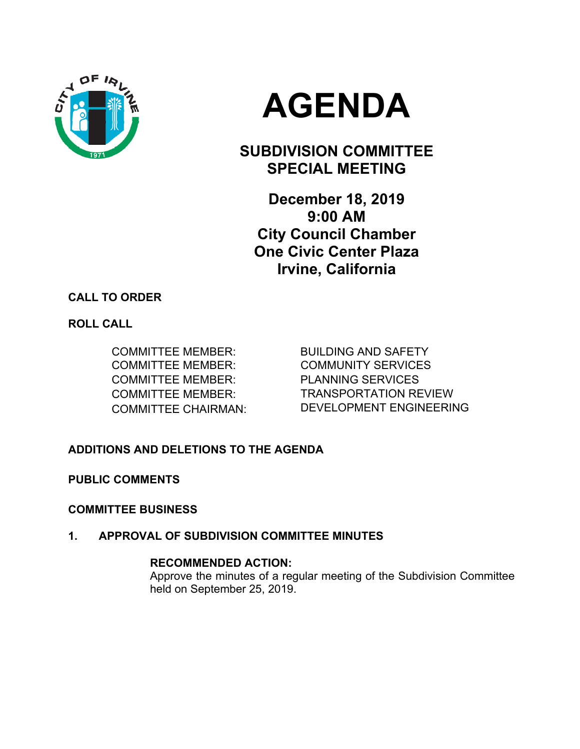

# **AGENDA**

## **SUBDIVISION COMMITTEE SPECIAL MEETING**

**December 18, 2019 9:00 AM City Council Chamber One Civic Center Plaza Irvine, California** 

### **CALL TO ORDER**

**ROLL CALL** 

COMMITTEE MEMBER: PLANNING SERVICES

COMMITTEE MEMBER: BUILDING AND SAFETY COMMITTEE MEMBER: COMMUNITY SERVICES COMMITTEE MEMBER: TRANSPORTATION REVIEW COMMITTEE CHAIRMAN: DEVELOPMENT ENGINEERING

## **ADDITIONS AND DELETIONS TO THE AGENDA**

**PUBLIC COMMENTS** 

#### **COMMITTEE BUSINESS**

**1. APPROVAL OF SUBDIVISION COMMITTEE MINUTES** 

#### **RECOMMENDED ACTION:**

Approve the minutes of a regular meeting of the Subdivision Committee held on September 25, 2019.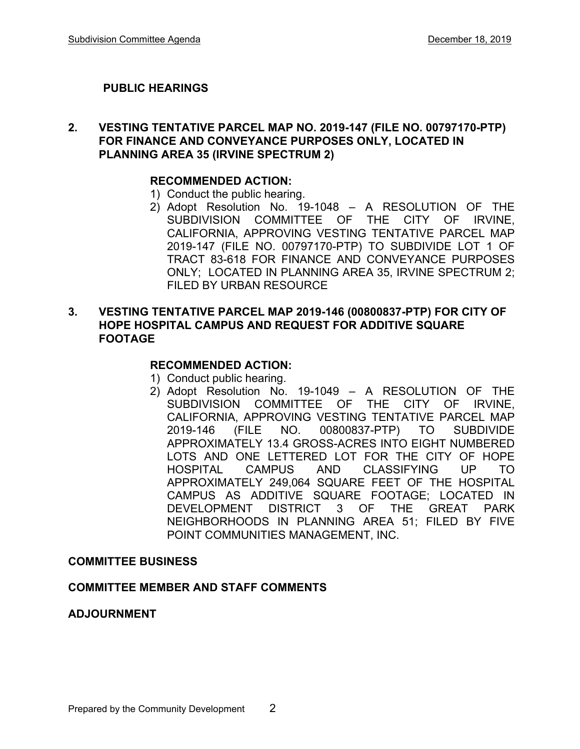#### **PUBLIC HEARINGS**

#### **2. VESTING TENTATIVE PARCEL MAP NO. 2019-147 (FILE NO. 00797170-PTP) FOR FINANCE AND CONVEYANCE PURPOSES ONLY, LOCATED IN PLANNING AREA 35 (IRVINE SPECTRUM 2)**

#### **RECOMMENDED ACTION:**

- 1) Conduct the public hearing.
- 2) Adopt Resolution No. 19-1048 A RESOLUTION OF THE SUBDIVISION COMMITTEE OF THE CITY OF IRVINE, CALIFORNIA, APPROVING VESTING TENTATIVE PARCEL MAP 2019-147 (FILE NO. 00797170-PTP) TO SUBDIVIDE LOT 1 OF TRACT 83-618 FOR FINANCE AND CONVEYANCE PURPOSES ONLY; LOCATED IN PLANNING AREA 35, IRVINE SPECTRUM 2; FILED BY URBAN RESOURCE

#### **3. VESTING TENTATIVE PARCEL MAP 2019-146 (00800837-PTP) FOR CITY OF HOPE HOSPITAL CAMPUS AND REQUEST FOR ADDITIVE SQUARE FOOTAGE**

#### **RECOMMENDED ACTION:**

- 1) Conduct public hearing.
- 2) Adopt Resolution No. 19-1049 A RESOLUTION OF THE SUBDIVISION COMMITTEE OF THE CITY OF IRVINE, CALIFORNIA, APPROVING VESTING TENTATIVE PARCEL MAP 2019-146 (FILE NO. 00800837-PTP) TO SUBDIVIDE APPROXIMATELY 13.4 GROSS-ACRES INTO EIGHT NUMBERED LOTS AND ONE LETTERED LOT FOR THE CITY OF HOPE HOSPITAL CAMPUS AND CLASSIFYING UP TO APPROXIMATELY 249,064 SQUARE FEET OF THE HOSPITAL CAMPUS AS ADDITIVE SQUARE FOOTAGE; LOCATED IN DEVELOPMENT DISTRICT 3 OF THE GREAT PARK NEIGHBORHOODS IN PLANNING AREA 51; FILED BY FIVE POINT COMMUNITIES MANAGEMENT, INC.

#### **COMMITTEE BUSINESS**

#### **COMMITTEE MEMBER AND STAFF COMMENTS**

#### **ADJOURNMENT**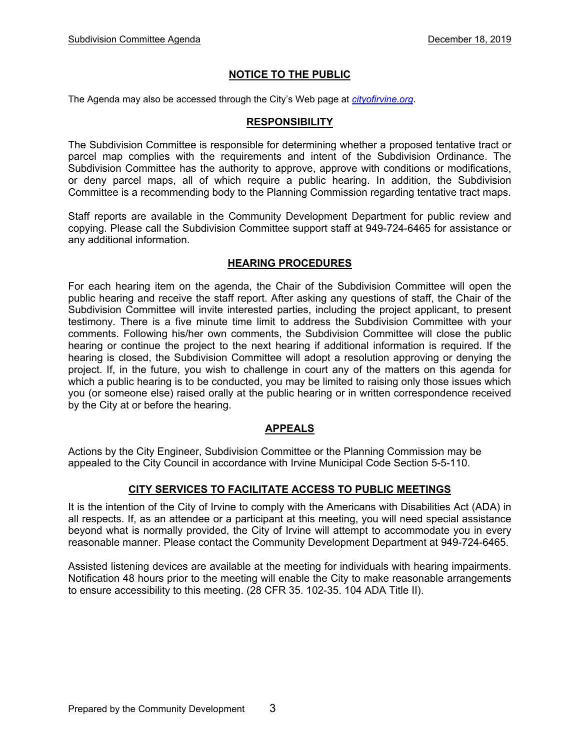#### **NOTICE TO THE PUBLIC**

The Agenda may also be accessed through the City's Web page at *cityofirvine.org*.

#### **RESPONSIBILITY**

The Subdivision Committee is responsible for determining whether a proposed tentative tract or parcel map complies with the requirements and intent of the Subdivision Ordinance. The Subdivision Committee has the authority to approve, approve with conditions or modifications, or deny parcel maps, all of which require a public hearing. In addition, the Subdivision Committee is a recommending body to the Planning Commission regarding tentative tract maps.

Staff reports are available in the Community Development Department for public review and copying. Please call the Subdivision Committee support staff at 949-724-6465 for assistance or any additional information.

#### **HEARING PROCEDURES**

For each hearing item on the agenda, the Chair of the Subdivision Committee will open the public hearing and receive the staff report. After asking any questions of staff, the Chair of the Subdivision Committee will invite interested parties, including the project applicant, to present testimony. There is a five minute time limit to address the Subdivision Committee with your comments. Following his/her own comments, the Subdivision Committee will close the public hearing or continue the project to the next hearing if additional information is required. If the hearing is closed, the Subdivision Committee will adopt a resolution approving or denying the project. If, in the future, you wish to challenge in court any of the matters on this agenda for which a public hearing is to be conducted, you may be limited to raising only those issues which you (or someone else) raised orally at the public hearing or in written correspondence received by the City at or before the hearing.

#### **APPEALS**

Actions by the City Engineer, Subdivision Committee or the Planning Commission may be appealed to the City Council in accordance with Irvine Municipal Code Section 5-5-110.

#### **CITY SERVICES TO FACILITATE ACCESS TO PUBLIC MEETINGS**

It is the intention of the City of Irvine to comply with the Americans with Disabilities Act (ADA) in all respects. If, as an attendee or a participant at this meeting, you will need special assistance beyond what is normally provided, the City of Irvine will attempt to accommodate you in every reasonable manner. Please contact the Community Development Department at 949-724-6465.

Assisted listening devices are available at the meeting for individuals with hearing impairments. Notification 48 hours prior to the meeting will enable the City to make reasonable arrangements to ensure accessibility to this meeting. (28 CFR 35. 102-35. 104 ADA Title II).